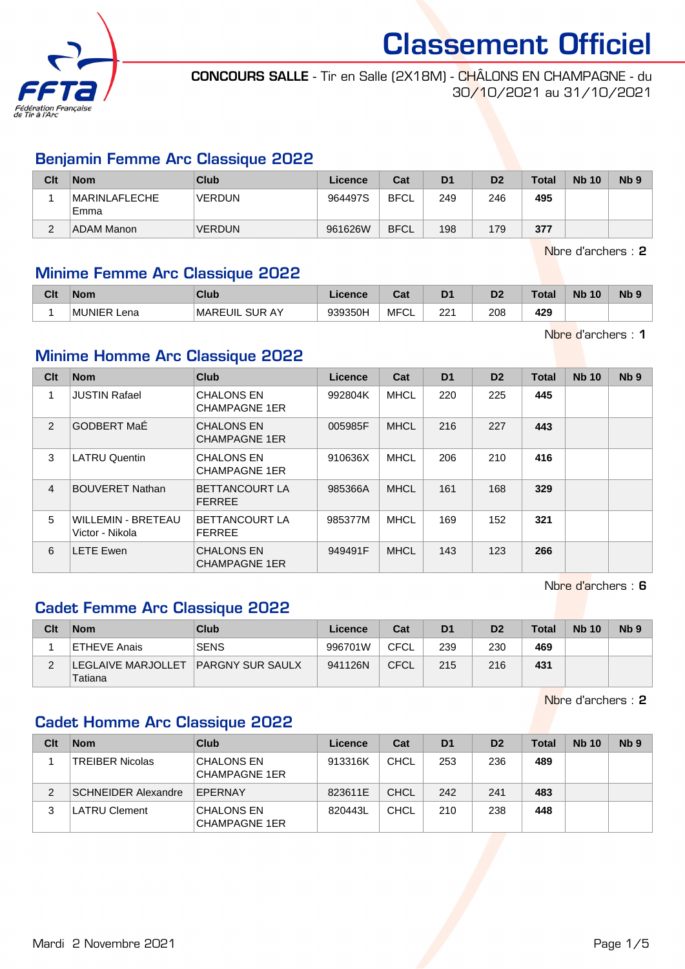

CONCOURS SALLE - Tir en Salle (2X18M) - CHÂLONS EN CHAMPAGNE - du 30/10/2021 au 31/10/2021

## Benjamin Femme Arc Classique 2022

| Clt         | <b>Nom</b>                   | <b>Club</b>   | Licence | Cat         | D <sub>1</sub> | D <sub>2</sub> | <b>Total</b> | <b>Nb 10</b> | N <sub>b</sub> <sub>9</sub> |
|-------------|------------------------------|---------------|---------|-------------|----------------|----------------|--------------|--------------|-----------------------------|
|             | <b>MARINLAFLECHE</b><br>Emma | <b>VERDUN</b> | 964497S | <b>BFCL</b> | 249            | 246            | 495          |              |                             |
| $\sim$<br>∠ | ADAM Manon                   | <b>VERDUN</b> | 961626W | <b>BFCL</b> | 198            | 179            | 377          |              |                             |

Nbre d'archers : 2

## Minime Femme Arc Classique 2022

| Clt | <b>Nom</b>     | <b>Club</b>                | Licence | <b>Total</b><br>uai | D <sub>1</sub> | D <sub>2</sub> | Total | <b>Nb</b><br>10 | N <sub>b</sub> 9 |
|-----|----------------|----------------------------|---------|---------------------|----------------|----------------|-------|-----------------|------------------|
|     | MUNIER<br>Lena | . SUR AY<br><b>MAREUIL</b> | 939350H | <b>MFCL</b>         | つつう<br>∠∠      | 208            | 429   |                 |                  |

Nbre d'archers : 1

## Minime Homme Arc Classique 2022

| Clt            | <b>Nom</b>                                   | <b>Club</b>                               | Licence | Cat         | D <sub>1</sub> | D <sub>2</sub> | <b>Total</b> | <b>Nb 10</b> | N <sub>b</sub> <sub>9</sub> |
|----------------|----------------------------------------------|-------------------------------------------|---------|-------------|----------------|----------------|--------------|--------------|-----------------------------|
| 1              | <b>JUSTIN Rafael</b>                         | <b>CHALONS EN</b><br><b>CHAMPAGNE 1ER</b> | 992804K | MHCL        | 220            | 225            | 445          |              |                             |
| 2              | <b>GODBERT MaÉ</b>                           | <b>CHALONS EN</b><br><b>CHAMPAGNE 1ER</b> | 005985F | <b>MHCL</b> | 216            | 227            | 443          |              |                             |
| 3              | <b>LATRU Quentin</b>                         | <b>CHALONS EN</b><br><b>CHAMPAGNE 1ER</b> | 910636X | <b>MHCL</b> | 206            | 210            | 416          |              |                             |
| $\overline{4}$ | <b>BOUVERET Nathan</b>                       | <b>BETTANCOURT LA</b><br><b>FERREE</b>    | 985366A | <b>MHCL</b> | 161            | 168            | 329          |              |                             |
| 5              | <b>WILLEMIN - BRETEAU</b><br>Victor - Nikola | <b>BETTANCOURT LA</b><br><b>FERREE</b>    | 985377M | <b>MHCL</b> | 169            | 152            | 321          |              |                             |
| 6              | <b>LETE Ewen</b>                             | <b>CHALONS EN</b><br><b>CHAMPAGNE 1ER</b> | 949491F | <b>MHCL</b> | 143            | 123            | 266          |              |                             |

Nbre d'archers : 6

## Cadet Femme Arc Classique 2022

| Clt | <b>Nom</b>                              | Club                    | Licence | Cat         | D <sub>1</sub> | D <sub>2</sub> | <b>Total</b> | <b>Nb 10</b> | N <sub>b</sub> <sub>9</sub> |
|-----|-----------------------------------------|-------------------------|---------|-------------|----------------|----------------|--------------|--------------|-----------------------------|
|     | ETHEVE Anais                            | <b>SENS</b>             | 996701W | CFCL        | 239            | 230            | 469          |              |                             |
|     | <b>ILEGLAIVE MARJOLLET  </b><br>Tatiana | <b>PARGNY SUR SAULX</b> | 941126N | <b>CFCL</b> | 215            | 216            | 431          |              |                             |

Nbre d'archers : 2

## Cadet Homme Arc Classique 2022

| Clt | <b>Nom</b>                 | Club                                      | Licence | Cat         | D <sub>1</sub> | D <sub>2</sub> | <b>Total</b> | <b>Nb 10</b> | N <sub>b</sub> <sub>9</sub> |
|-----|----------------------------|-------------------------------------------|---------|-------------|----------------|----------------|--------------|--------------|-----------------------------|
|     | <b>TREIBER Nicolas</b>     | <b>CHALONS EN</b><br><b>CHAMPAGNE 1ER</b> | 913316K | <b>CHCL</b> | 253            | 236            | 489          |              |                             |
| 2   | <b>SCHNEIDER Alexandre</b> | EPERNAY                                   | 823611E | <b>CHCL</b> | 242            | 241            | 483          |              |                             |
|     | <b>LATRU Clement</b>       | <b>CHALONS EN</b><br><b>CHAMPAGNE 1ER</b> | 820443L | <b>CHCL</b> | 210            | 238            | 448          |              |                             |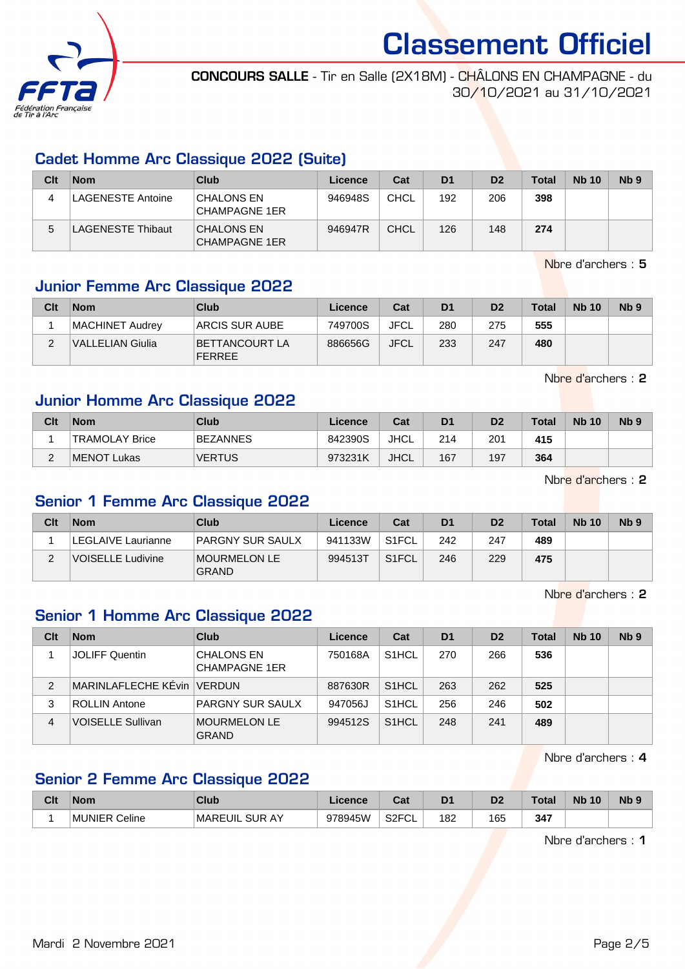

CONCOURS SALLE - Tir en Salle (2X18M) - CHÂLONS EN CHAMPAGNE - du 30/10/2021 au 31/10/2021

## Cadet Homme Arc Classique 2022 (Suite)

| Clt | <b>Nom</b>        | Club                                      | Licence | Cat         | D <sub>1</sub> | D <sub>2</sub> | <b>Total</b> | <b>Nb 10</b> | Nb <sub>9</sub> |
|-----|-------------------|-------------------------------------------|---------|-------------|----------------|----------------|--------------|--------------|-----------------|
|     | LAGENESTE Antoine | CHALONS EN<br>CHAMPAGNE 1ER               | 946948S | <b>CHCL</b> | 192            | 206            | 398          |              |                 |
| 5   | AGENESTE Thibaut  | <b>CHALONS EN</b><br><b>CHAMPAGNE 1ER</b> | 946947R | CHCL        | 126            | 148            | 274          |              |                 |

Nbre d'archers : 5

# Junior Femme Arc Classique 2022

| Clt      | <b>Nom</b>       | Club                                    | Licence | Cat         | D <sub>1</sub> | D <sub>2</sub> | <b>Total</b> | <b>Nb 10</b> | N <sub>b</sub> <sub>9</sub> |
|----------|------------------|-----------------------------------------|---------|-------------|----------------|----------------|--------------|--------------|-----------------------------|
|          | MACHINET Audrev  | <b>ARCIS SUR AUBE</b>                   | 749700S | <b>JFCL</b> | 280            | 275            | 555          |              |                             |
| <u>.</u> | VALLELIAN Giulia | <b>IBETTANCOURT LA</b><br><b>FERREE</b> | 886656G | <b>JFCL</b> | 233            | 247            | 480          |              |                             |

Nbre d'archers : 2

# Junior Homme Arc Classique 2022

| Clt    | <b>Nom</b>     | Club            | Licence | Cat         | D <sub>1</sub> | D <sub>2</sub> | <b>Total</b> | <b>Nb 10</b> | N <sub>b</sub> <sub>9</sub> |
|--------|----------------|-----------------|---------|-------------|----------------|----------------|--------------|--------------|-----------------------------|
|        | TRAMOLAY Brice | <b>BEZANNES</b> | 842390S | <b>JHCL</b> | 214            | 201            | 415          |              |                             |
| $\sim$ | MENOT Lukas    | <b>VERTUS</b>   | 973231K | <b>JHCL</b> | 167            | 197            | 364          |              |                             |

Nbre d'archers : 2

# Senior 1 Femme Arc Classique 2022

| Clt | <b>Nom</b>         | Club                                | Licence | Cat                | D <sub>1</sub> | D <sub>2</sub> | <b>Total</b> | <b>Nb 10</b> | N <sub>b</sub> 9 |
|-----|--------------------|-------------------------------------|---------|--------------------|----------------|----------------|--------------|--------------|------------------|
|     | LEGLAIVE Laurianne | <b>PARGNY SUR SAULX</b>             | 941133W | S <sub>1</sub> FCL | 242            | 247            | 489          |              |                  |
| ◠   | VOISELLE Ludivine  | <b>MOURMELON LE</b><br><b>GRAND</b> | 994513T | S <sub>1</sub> FCL | 246            | 229            | 475          |              |                  |

Nbre d'archers : 2

## Senior 1 Homme Arc Classique 2022

| Clt            | <b>Nom</b>                   | Club                                      | Licence | Cat                | D <sub>1</sub> | D <sub>2</sub> | Total | <b>Nb 10</b> | Nb <sub>9</sub> |
|----------------|------------------------------|-------------------------------------------|---------|--------------------|----------------|----------------|-------|--------------|-----------------|
|                | JOLIFF Quentin               | <b>CHALONS EN</b><br><b>CHAMPAGNE 1ER</b> | 750168A | S <sub>1</sub> HCL | 270            | 266            | 536   |              |                 |
| $\overline{2}$ | MARINLAFLECHE KEvin   VERDUN |                                           | 887630R | S <sub>1</sub> HCL | 263            | 262            | 525   |              |                 |
| 3              | ROLLIN Antone                | <b>PARGNY SUR SAULX</b>                   | 947056J | S <sub>1</sub> HCL | 256            | 246            | 502   |              |                 |
| 4              | <b>VOISELLE Sullivan</b>     | MOURMELON LE<br><b>GRAND</b>              | 994512S | S <sub>1</sub> HCL | 248            | 241            | 489   |              |                 |

Nbre d'archers : 4

# Senior 2 Femme Arc Classique 2022

| Clt | <b>Nom</b>        | Club                          | .icence | Cat                      |     | Dź  | <b>Total</b> | <b>Nb</b><br>10 | N <sub>b</sub> <sub>9</sub> |
|-----|-------------------|-------------------------------|---------|--------------------------|-----|-----|--------------|-----------------|-----------------------------|
|     | Celine<br>⊥MUNIEP | SLIR.<br>AY<br><b>MAREUIL</b> | 978945W | S <sub>2</sub> FCL<br>◡∟ | 182 | 165 | 347          |                 |                             |

Nbre d'archers : 1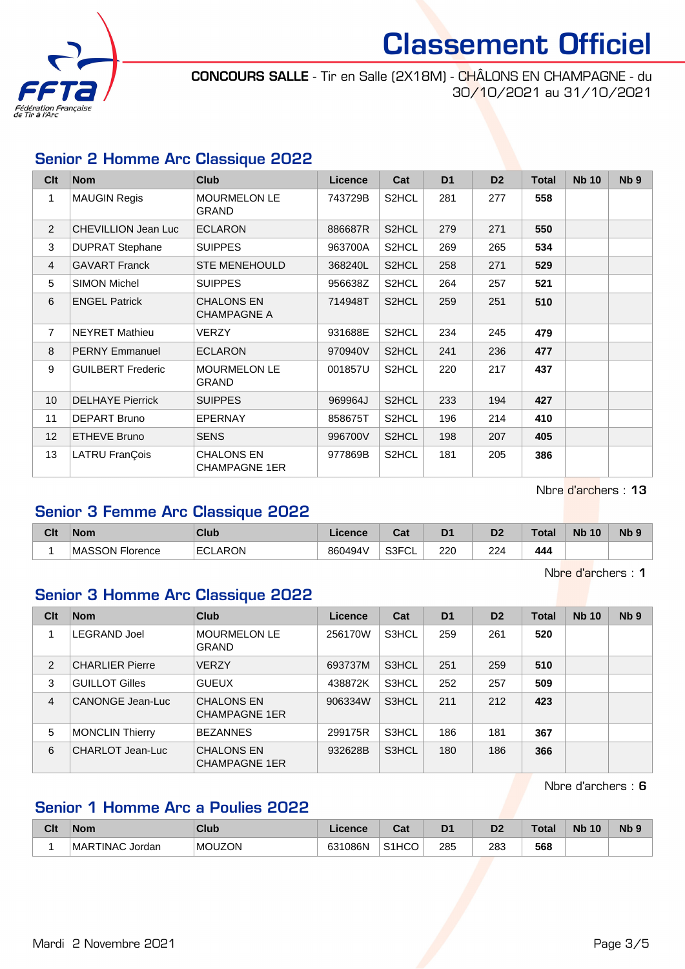

CONCOURS SALLE - Tir en Salle (2X18M) - CHÂLONS EN CHAMPAGNE - du 30/10/2021 au 31/10/2021

# Senior 2 Homme Arc Classique 2022

| Clt             | <b>Nom</b>                 | <b>Club</b>                               | Licence | Cat   | D <sub>1</sub> | D <sub>2</sub> | <b>Total</b> | <b>Nb 10</b> | Nb <sub>9</sub> |
|-----------------|----------------------------|-------------------------------------------|---------|-------|----------------|----------------|--------------|--------------|-----------------|
| 1               | <b>MAUGIN Regis</b>        | <b>MOURMELON LE</b><br><b>GRAND</b>       | 743729B | S2HCL | 281            | 277            | 558          |              |                 |
| $\overline{2}$  | <b>CHEVILLION Jean Luc</b> | <b>ECLARON</b>                            | 886687R | S2HCL | 279            | 271            | 550          |              |                 |
| 3               | <b>DUPRAT Stephane</b>     | <b>SUIPPES</b>                            | 963700A | S2HCL | 269            | 265            | 534          |              |                 |
| 4               | <b>GAVART Franck</b>       | <b>STE MENEHOULD</b>                      | 368240L | S2HCL | 258            | 271            | 529          |              |                 |
| 5               | <b>SIMON Michel</b>        | <b>SUIPPES</b>                            | 956638Z | S2HCL | 264            | 257            | 521          |              |                 |
| 6               | <b>ENGEL Patrick</b>       | <b>CHALONS EN</b><br><b>CHAMPAGNE A</b>   | 714948T | S2HCL | 259            | 251            | 510          |              |                 |
| $\overline{7}$  | <b>NEYRET Mathieu</b>      | VERZY                                     | 931688E | S2HCL | 234            | 245            | 479          |              |                 |
| 8               | <b>PERNY Emmanuel</b>      | <b>ECLARON</b>                            | 970940V | S2HCL | 241            | 236            | 477          |              |                 |
| 9               | <b>GUILBERT Frederic</b>   | <b>MOURMELON LE</b><br><b>GRAND</b>       | 001857U | S2HCL | 220            | 217            | 437          |              |                 |
| 10 <sup>°</sup> | <b>DELHAYE Pierrick</b>    | <b>SUIPPES</b>                            | 969964J | S2HCL | 233            | 194            | 427          |              |                 |
| 11              | DEPART Bruno               | <b>EPERNAY</b>                            | 858675T | S2HCL | 196            | 214            | 410          |              |                 |
| 12 <sup>2</sup> | ETHEVE Bruno               | <b>SENS</b>                               | 996700V | S2HCL | 198            | 207            | 405          |              |                 |
| 13              | LATRU FranÇois             | <b>CHALONS EN</b><br><b>CHAMPAGNE 1ER</b> | 977869B | S2HCL | 181            | 205            | 386          |              |                 |

Nbre d'archers : 13

# Senior 3 Femme Arc Classique 2022

| Clt | <b>Nom</b>              | <b>Club</b>    | Licence | $R_{\alpha}$<br>⊍aι       | D <sub>1</sub> | ro-<br>ש | Total | <b>N<sub>b</sub></b><br>10 | <b>N<sub>b</sub></b> |
|-----|-------------------------|----------------|---------|---------------------------|----------------|----------|-------|----------------------------|----------------------|
|     | ∣MASSON Flo<br>Florence | <b>ECLARON</b> | 860494V | <b>SSEUI</b><br>וטט<br>◡∟ | 220            | 224      | 444   |                            |                      |

Nbre d'archers : 1

# Senior 3 Homme Arc Classique 2022

| Clt | <b>Nom</b>             | <b>Club</b>                               | Licence | Cat   | D <sub>1</sub> | D <sub>2</sub> | <b>Total</b> | <b>Nb 10</b> | N <sub>b</sub> <sub>9</sub> |
|-----|------------------------|-------------------------------------------|---------|-------|----------------|----------------|--------------|--------------|-----------------------------|
|     | <b>LEGRAND Joel</b>    | <b>MOURMELON LE</b><br><b>GRAND</b>       | 256170W | S3HCL | 259            | 261            | 520          |              |                             |
| 2   | <b>CHARLIER Pierre</b> | <b>VERZY</b>                              | 693737M | S3HCL | 251            | 259            | 510          |              |                             |
| 3   | <b>GUILLOT Gilles</b>  | <b>GUEUX</b>                              | 438872K | S3HCL | 252            | 257            | 509          |              |                             |
| 4   | CANONGE Jean-Luc       | <b>CHALONS EN</b><br><b>CHAMPAGNE 1ER</b> | 906334W | S3HCL | 211            | 212            | 423          |              |                             |
| 5   | <b>MONCLIN Thierry</b> | <b>BEZANNES</b>                           | 299175R | S3HCL | 186            | 181            | 367          |              |                             |
| 6   | CHARLOT Jean-Luc       | <b>CHALONS EN</b><br><b>CHAMPAGNE 1ER</b> | 932628B | S3HCL | 180            | 186            | 366          |              |                             |

Nbre d'archers : 6

# Senior 1 Homme Arc a Poulies 2022

| Clt | <b>Nom</b>      | Club          | <b>Licence</b> | יפ<br>ua           | D <sub>1</sub> | ng<br>ש   | <b>Total</b> | <b>Nb</b><br>10 | <b>Nb</b> |
|-----|-----------------|---------------|----------------|--------------------|----------------|-----------|--------------|-----------------|-----------|
|     | MARTINAC Jordan | <b>MOUZON</b> | 631086N        | S <sub>1</sub> HCO | 285<br>__      | 283<br>__ | 568          |                 |           |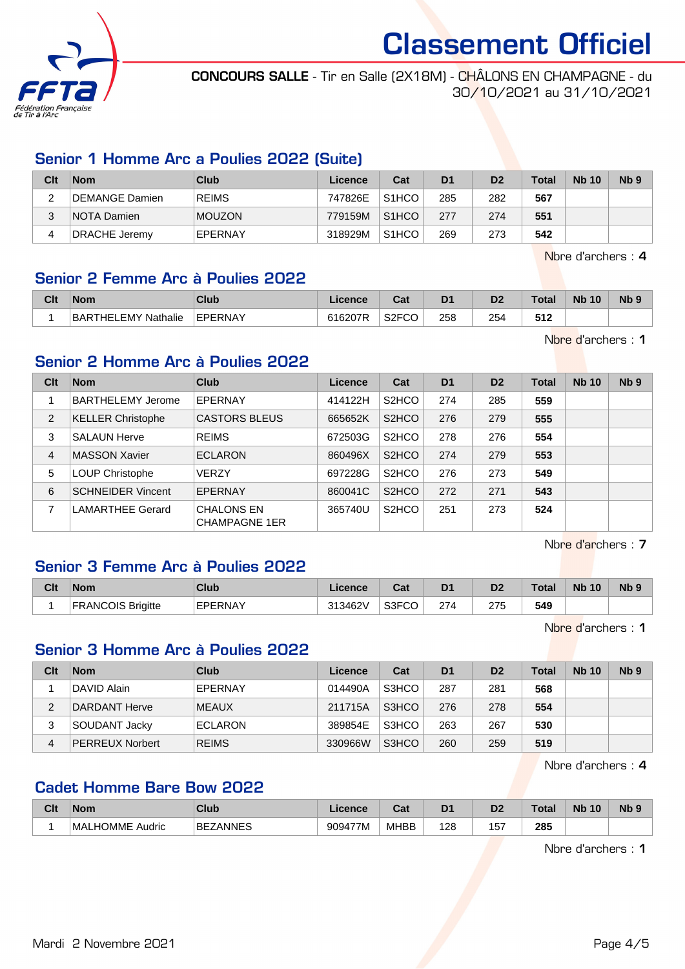

CONCOURS SALLE - Tir en Salle (2X18M) - CHÂLONS EN CHAMPAGNE - du 30/10/2021 au 31/10/2021

## Senior 1 Homme Arc a Poulies 2022 (Suite)

| Clt | <b>Nom</b>     | Club          | Licence | Cat                | D <sub>1</sub> | D <sub>2</sub> | <b>Total</b> | <b>Nb 10</b> | N <sub>b</sub> <sub>9</sub> |
|-----|----------------|---------------|---------|--------------------|----------------|----------------|--------------|--------------|-----------------------------|
|     | DEMANGE Damien | <b>REIMS</b>  | 747826E | S <sub>1</sub> HCO | 285            | 282            | 567          |              |                             |
| 3   | NOTA Damien    | <b>MOUZON</b> | 779159M | S <sub>1</sub> HCO | 277            | 274            | 551          |              |                             |
|     | DRACHE Jeremy  | EPERNAY       | 318929M | S <sub>1</sub> HCO | 269            | 273            | 542          |              |                             |

Nbre d'archers : 4

#### Senior 2 Femme Arc à Poulies 2022

| Clt | <b>Nom</b>                       | Club    | <i>cence</i> | יים<br>υa | D <sub>1</sub> | D <sub>2</sub> | Total        | <b>N<sub>b</sub></b><br>10 | N <sub>b</sub> <sub>9</sub> |
|-----|----------------------------------|---------|--------------|-----------|----------------|----------------|--------------|----------------------------|-----------------------------|
|     | ' EMY Nathalie<br><b>BARTHEL</b> | EPERNAY | 616207R      | S2FCO     | 258            | 254            | こイク<br>3 I Z |                            |                             |

Nbre d'archers : 1

## Senior 2 Homme Arc à Poulies 2022

| Clt            | <b>Nom</b>               | Club                                      | Licence | Cat                | D <sub>1</sub> | D <sub>2</sub> | Total | <b>Nb 10</b> | Nb <sub>9</sub> |
|----------------|--------------------------|-------------------------------------------|---------|--------------------|----------------|----------------|-------|--------------|-----------------|
|                | <b>BARTHELEMY Jerome</b> | EPERNAY                                   | 414122H | S <sub>2</sub> HCO | 274            | 285            | 559   |              |                 |
| $\overline{2}$ | <b>KELLER Christophe</b> | <b>CASTORS BLEUS</b>                      | 665652K | S <sub>2</sub> HCO | 276            | 279            | 555   |              |                 |
| 3              | <b>SALAUN Herve</b>      | <b>REIMS</b>                              | 672503G | S <sub>2</sub> HCO | 278            | 276            | 554   |              |                 |
| 4              | <b>MASSON Xavier</b>     | <b>ECLARON</b>                            | 860496X | S <sub>2</sub> HCO | 274            | 279            | 553   |              |                 |
| 5              | <b>LOUP Christophe</b>   | <b>VERZY</b>                              | 697228G | S <sub>2</sub> HCO | 276            | 273            | 549   |              |                 |
| 6              | <b>SCHNEIDER Vincent</b> | EPERNAY                                   | 860041C | S <sub>2</sub> HCO | 272            | 271            | 543   |              |                 |
|                | <b>LAMARTHEE Gerard</b>  | <b>CHALONS EN</b><br><b>CHAMPAGNE 1ER</b> | 365740U | S <sub>2</sub> HCO | 251            | 273            | 524   |              |                 |

Nbre d'archers : 7

#### Senior 3 Femme Arc à Poulies 2022

| Clt | <b>Nom</b>               | <b>Club</b>    | icence  | ົີ່<br>⊍a | D <sub>1</sub> | D <sub>2</sub> | <b>Total</b> | <b>N<sub>b</sub></b><br>10 | <b>N<sub>b</sub></b> |
|-----|--------------------------|----------------|---------|-----------|----------------|----------------|--------------|----------------------------|----------------------|
|     | <b>FRANCOIS Brigitte</b> | <b>EPERNAY</b> | 313462V | S3FCO     | 274            | 275            | 549          |                            |                      |

Nbre d'archers : 1

## Senior 3 Homme Arc à Poulies 2022

| Clt | <b>Nom</b>             | <b>Club</b>    | Licence | Cat   | D <sub>1</sub> | D <sub>2</sub> | <b>Total</b> | <b>Nb 10</b> | Nb <sub>9</sub> |
|-----|------------------------|----------------|---------|-------|----------------|----------------|--------------|--------------|-----------------|
|     | DAVID Alain            | EPERNAY        | 014490A | S3HCO | 287            | 281            | 568          |              |                 |
| 2   | DARDANT Herve          | <b>MEAUX</b>   | 211715A | S3HCO | 276            | 278            | 554          |              |                 |
| 3   | SOUDANT Jacky          | <b>ECLARON</b> | 389854E | S3HCO | 263            | 267            | 530          |              |                 |
| 4   | <b>PERREUX Norbert</b> | <b>REIMS</b>   | 330966W | S3HCO | 260            | 259            | 519          |              |                 |

Nbre d'archers : 4

## Cadet Homme Bare Bow 2022

| Clt | <b>Nom</b>              | <b>Club</b>                         | icence  | $F - F$<br>val | D <sub>1</sub> | D.<br>ע    | г^+^<br>งเฮ | <b>Nb</b><br>10 | N <sub>b</sub> <sub>9</sub> |
|-----|-------------------------|-------------------------------------|---------|----------------|----------------|------------|-------------|-----------------|-----------------------------|
|     | MAL<br>HOMME.<br>Audric | <b>ANNES</b><br>BEZ<br><b>UNIVE</b> | 909477M | <b>MHBB</b>    | 128<br>__      | 157<br>$-$ | 285<br>__   |                 |                             |

Nbre d'archers : 1